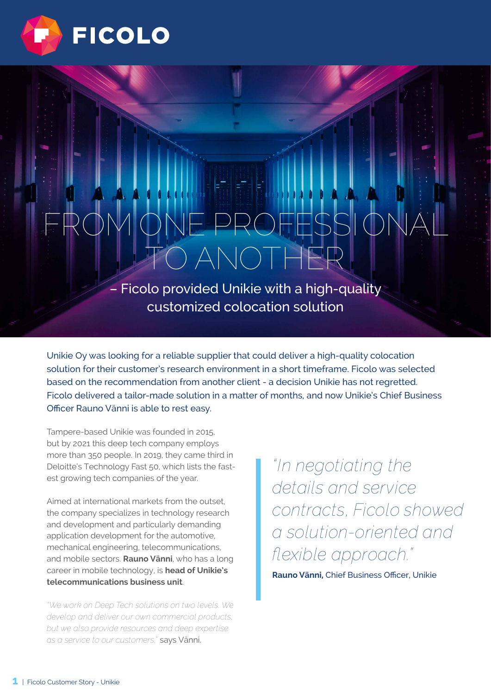

# FROM ONE PROFESSIONAL TO ANOTHER

– Ficolo provided Unikie with a high-quality customized colocation solution

Unikie Oy was looking for a reliable supplier that could deliver a high-quality colocation solution for their customer's research environment in a short timeframe. Ficolo was selected based on the recommendation from another client - a decision Unikie has not regretted. Ficolo delivered a tailor-made solution in a matter of months, and now Unikie's Chief Business Officer Rauno Vänni is able to rest easy.

Tampere-based Unikie was founded in 2015, but by 2021 this deep tech company employs more than 350 people. In 2019, they came third in Deloitte's Technology Fast 50, which lists the fastest growing tech companies of the year.

Aimed at international markets from the outset, the company specializes in technology research and development and particularly demanding application development for the automotive, mechanical engineering, telecommunications, and mobile sectors. **Rauno Vänni**, who has a long career in mobile technology, is **head of Unikie's telecommunications business unit**.

*"We work on Deep Tech solutions on two levels. We develop and deliver our own commercial products, but we also provide resources and deep expertise as a service to our customers,"* says Vänni.

*"In negotiating the details and service contracts, Ficolo showed a solution-oriented and flexible approach."*

**Rauno Vänni,** Chief Business Officer, Unikie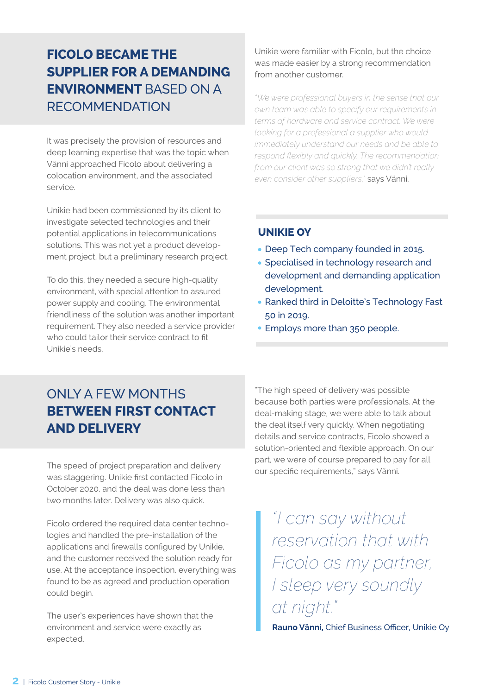## **FICOLO BECAME THE SUPPLIER FOR A DEMANDING ENVIRONMENT** BASED ON A RECOMMENDATION

It was precisely the provision of resources and deep learning expertise that was the topic when Vänni approached Ficolo about delivering a colocation environment, and the associated service.

Unikie had been commissioned by its client to investigate selected technologies and their potential applications in telecommunications solutions. This was not yet a product development project, but a preliminary research project.

To do this, they needed a secure high-quality environment, with special attention to assured power supply and cooling. The environmental friendliness of the solution was another important requirement. They also needed a service provider who could tailor their service contract to fit Unikie's needs.

Unikie were familiar with Ficolo, but the choice was made easier by a strong recommendation from another customer.

*"We were professional buyers in the sense that our own team was able to specify our requirements in terms of hardware and service contract. We were looking for a professional a supplier who would immediately understand our needs and be able to respond flexibly and quickly. The recommendation from our client was so strong that we didn't really even consider other suppliers,"* says Vänni.

#### **UNIKIE OY**

- Deep Tech company founded in 2015.
- Specialised in technology research and development and demanding application development.
- Ranked third in Deloitte's Technology Fast 50 in 2019.
- Employs more than 350 people.

# ONLY A FEW MONTHS **BETWEEN FIRST CONTACT AND DELIVERY**

The speed of project preparation and delivery was staggering. Unikie first contacted Ficolo in October 2020, and the deal was done less than two months later. Delivery was also quick.

Ficolo ordered the required data center technologies and handled the pre-installation of the applications and firewalls configured by Unikie, and the customer received the solution ready for use. At the acceptance inspection, everything was found to be as agreed and production operation could begin.

The user's experiences have shown that the environment and service were exactly as expected.

"The high speed of delivery was possible because both parties were professionals. At the deal-making stage, we were able to talk about the deal itself very quickly. When negotiating details and service contracts, Ficolo showed a solution-oriented and flexible approach. On our part, we were of course prepared to pay for all our specific requirements," says Vänni.

*"I can say without reservation that with Ficolo as my partner, I sleep very soundly at night."*

**Rauno Vänni,** Chief Business Officer, Unikie Oy